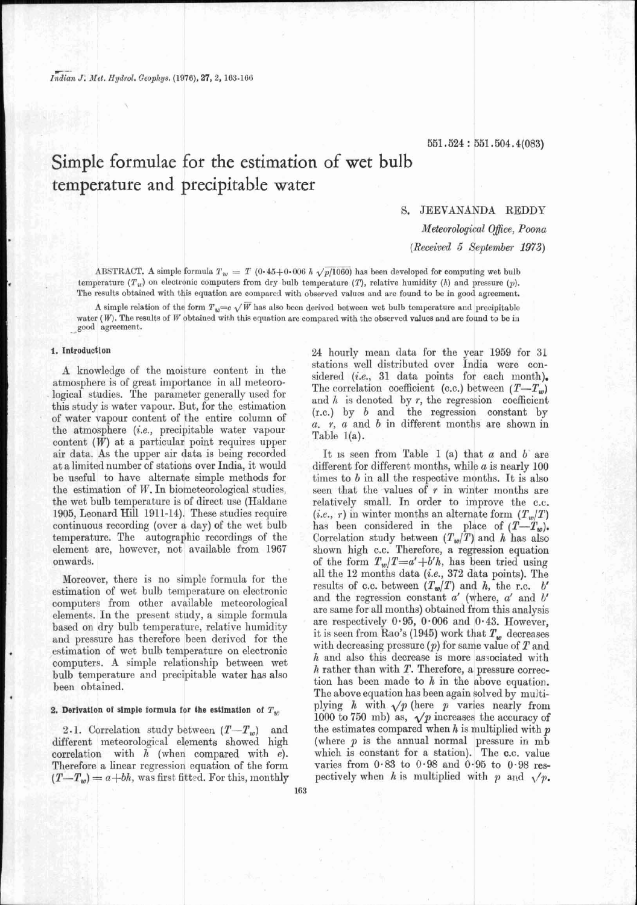# Simple formulae for the estimation of wet bulb temperature and precipitable water

# S. JEEVANANDA REDDY

Meteorological Office, Poona

(Received 5 September 1973)

ABSTRACT. A simple formula  $T_w = T(0.45+0.006 \; h \sqrt{p/1060})$  has been developed for computing wet bulb temperature ( $T_w$ ) on electronic computers from dry bulb temperature (T), relative humidity (h) and pressure (p). The results obtained with this equation are compared with observed values and are found to be in good agreement.

A simple relation of the form  $T_w=c\sqrt{W}$  has also been derived between wet bulb temperature and precipitable water  $(W)$ . The results of W obtained with this equation are compared with the observed values and are found to be in good agreement.

#### 1. Introduction

A knowledge of the moisture content in the atmosphere is of great importance in all meteorological studies. The parameter generally used for this study is water vapour. But, for the estimation of water vapour content of the entire column of the atmosphere (i.e., precipitable water vapour content  $(W)$  at a particular point requires upper air data. As the upper air data is being recorded at a limited number of stations over India, it would be useful to have alternate simple methods for the estimation of  $W$ . In biometeorological studies, the wet bulb temperature is of direct use (Haldane 1905, Leonard Hill 1911-14). These studies require continuous recording (over a day) of the wet bulb temperature. The autographic recordings of the element are, however, not available from 1967 onwards.

Moreover, there is no simple formula for the estimation of wet bulb temperature on electronic computers from other available meteorological elements. In the present study, a simple formula based on dry bulb temperature, relative humidity and pressure has therefore been derived for the estimation of wet bulb temperature on electronic computers. A simple relationship between wet bulb temperature and precipitable water has also been obtained.

#### 2. Derivation of simple formula for the estimation of  $T_{\nu}$

2.1. Correlation study between  $(T-T_w)$  and different meteorological elements showed high correlation with  $h$  (when compared with  $e$ ). Therefore a linear regression equation of the form  $(T-T_w)=a+bh$ , was first fitted. For this, monthly 24 hourly mean data for the year 1959 for 31 stations well distributed over India were considered (i.e., 31 data points for each month). The correlation coefficient (c.c.) between  $(T-T_w)$ and  $h$  is denoted by  $r$ , the regression coefficient  $(r.c.)$  by  $b$  and the regression constant by  $a. r, a$  and  $b$  in different months are shown in Table  $1(a)$ .

It is seen from Table 1 (a) that  $a$  and  $b$  are different for different months, while  $a$  is nearly 100 times to  $b$  in all the respective months. It is also seen that the values of  $r$  in winter months are relatively small. In order to improve the c.c. (*i.e.*, r) in winter months an alternate form  $(T_w/T)$ (*i.e.*, *r*) in which months an attenuate form  $(I_w/I)$ <br>has been considered in the place of  $(T-T_w)$ .<br>Correlation study between  $(T_w/T)$  and *h* has also<br>shown high c.c. Therefore, a regression equation<br>of the form  $T_w/T=a'+b'h$ , and the regression constant  $a'$  (where,  $a'$  and  $b'$ are same for all months) obtained from this analysis are respectively 0.95, 0.006 and 0.43. However, it is seen from Rao's (1945) work that  $T_w$  decreases with decreasing pressure  $(p)$  for same value of  $T$  and  $h$  and also this decrease is more associated with  $h$  rather than with  $T$ . Therefore, a pressure correction has been made to  $h$  in the above equation. The above equation has been again solved by multiplying  $h$  with  $\sqrt{p}$  (here  $p$  varies nearly from<br>1000 to 750 mb) as,  $\sqrt{p}$  increases the accuracy of<br>the estimates compared when  $h$  is multiplied with  $p$ (where  $p$  is the annual normal pressure in  $m\bar{b}$ which is constant for a station). The c.c. value varies from  $0.83$  to  $0.98$  and  $0.95$  to  $0.98$  respectively when h is multiplied with p and  $\sqrt{p}$ .

163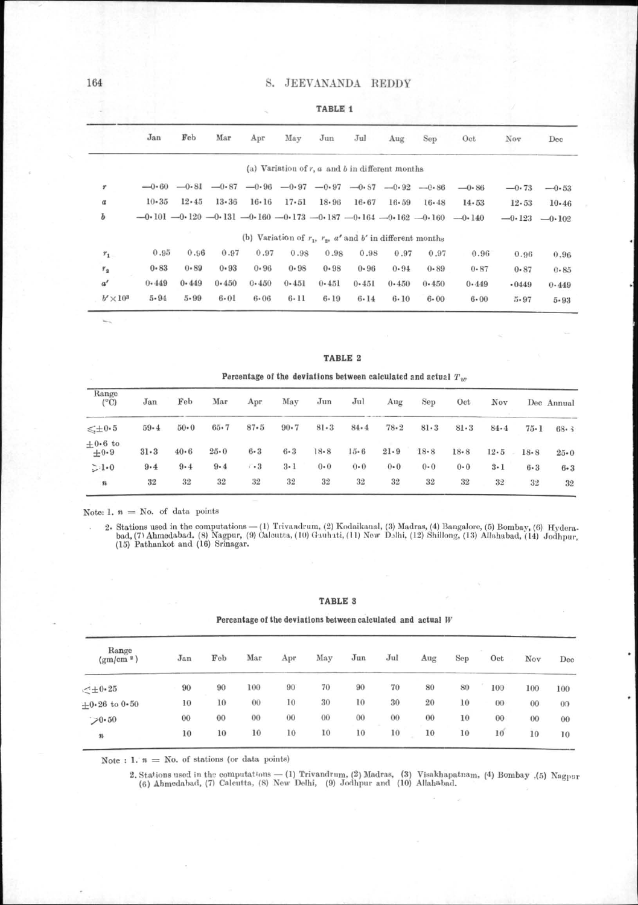# S. JEEVANANDA REDDY

|                  |                  |           |               |          |                                                                         |           | $A \wedge B \wedge B \wedge B$                         |           |          |           |                                                                                  |           |              |
|------------------|------------------|-----------|---------------|----------|-------------------------------------------------------------------------|-----------|--------------------------------------------------------|-----------|----------|-----------|----------------------------------------------------------------------------------|-----------|--------------|
|                  |                  | Jan       | Feb           | Mar      | Apr                                                                     | May       | Jun                                                    | Jul       | Aug      | Sep       | Oct                                                                              | Nov       | $_{\rm Dec}$ |
|                  |                  |           |               |          |                                                                         |           | (a) Variation of $r$ , $a$ and $b$ in different months |           |          |           |                                                                                  |           |              |
| r                |                  |           |               |          | $-0.60$ $-0.81$ $-0.87$ $-0.96$ $-0.97$ $-0.97$ $-0.87$ $-0.82$ $-0.86$ |           |                                                        |           |          |           | $-0.86$                                                                          | $-0.73$   | $-0.53$      |
| $\boldsymbol{a}$ |                  | $10 - 35$ | $12 \cdot 45$ | 13.36    | $16 - 16$                                                               | 17.51     | $18 - 96$                                              | $16 - 67$ | 16.59    | $16 - 48$ | 14.53                                                                            | $12 - 53$ | $10 - 46$    |
| Ъ                |                  |           |               |          |                                                                         |           |                                                        |           |          |           | $-0.101 - 0.120 - 0.131 - 0.160 - 0.173 - 0.187 - 0.164 - 0.162 - 0.160 - 0.140$ | $-0.123$  | $-0.102$     |
|                  |                  |           |               |          | (b) Variation of $r_1$ , $r_2$ , $a'$ and $b'$ in different months      |           |                                                        |           |          |           |                                                                                  |           |              |
| $r_{\rm 1}$      |                  | 0.95      | 0.96          | 0.97     | 0.97                                                                    | 0.98      | 0.98                                                   | 0.98      | 0.97     | 0.97      | 0.96                                                                             | 0.96      | 0.96         |
| $\mathcal{V}_2$  |                  | 0.83      | 0.89          | 0.93     | $0 - 96$                                                                | 0.98      | $0 - 98$                                               | 0.96      | 0.94     | 0.89      | $0 - 87$                                                                         | $0 - 87$  | 0.85         |
| a'               |                  | 0.449     | 0.449         | 0.450    | 0.450                                                                   | $0 - 451$ | 0.451                                                  | 0.451     | 0.450    | 0.450     | 0.449                                                                            | .0449     | 0.449        |
|                  | $b' \times 10^3$ | $5 - 94$  | $5 - 99$      | $6 - 01$ | $6 - 06$                                                                | $6 - 11$  | $6 - 19$                                               | $6 - 14$  | $6 - 10$ | $6 - 00$  | $6 - 00$                                                                         | $5 - 97$  | $5 - 93$     |
|                  |                  |           |               |          |                                                                         |           |                                                        |           |          |           |                                                                                  |           |              |

TABLE 2 Percentage of the deviations between calculated and actual  $T_w$ 

| Range<br>$(^{\circ}C)$ | Jan      | Feb      | Mar      | Apr       | May      | Jun      | Jul      | Aug      | Sep          | Oct      | Nov      |          | Dec Annual |
|------------------------|----------|----------|----------|-----------|----------|----------|----------|----------|--------------|----------|----------|----------|------------|
| $\leqslant \pm 0.5$    | $59 - 4$ | $50 - 0$ | $65 - 7$ | $87 - 5$  | $90 - 7$ | $81 - 3$ | $84 - 4$ | $78 - 2$ | $81 \cdot 3$ | 81.3     | $84 - 4$ | $75 - 1$ | 68.3       |
| $+0.6$ to<br>$+0.9$    | $31 - 3$ | $40 - 6$ | $25 - 0$ | $6 - 3$   | $6 - 3$  | $18 - 8$ | $15 - 6$ | $21 - 9$ | $18 - 8$     | $18 - 8$ | $12 - 5$ | $18 - 8$ | $25 - 0$   |
| >1.0                   | $9 - 4$  | $9 - 4$  | 9.4      | $\cdot$ 3 | $3 - 1$  | $0 - 0$  | $0 - 0$  | $0 - 0$  | 0.0          | $0 - 0$  | $3 - 1$  | $6 - 3$  | $6 - 3$    |
| $\pmb{n}$              | 32       | 32       | 32       | 32        | 32       | 32       | 32       | 32       | 32           | 32       | 32       | 32       | 32         |

Note: 1.  $n =$  No. of data points

2. Stations used in the computations — (1) Trivandrum, (2) Kodaikanal, (3) Madras, (4) Bangalore, (5) Bombay, (6) Hyderabad, (7) Ahmedabad, (8) Nagpur, (9) Galcutta, (10) Gauhati, (11) New Delhi, (12) Shillong, (13) Allaha

# TABLE 3

## Percentage of the deviations between calculated and actual  $W$

| Range<br>(gm/cm <sup>2</sup> ) | Jan     | Feb | Mar | Apr | May | Jun | $_{\rm{Jul}}$ | Aug | Sep | Oct | Nov | Dec |
|--------------------------------|---------|-----|-----|-----|-----|-----|---------------|-----|-----|-----|-----|-----|
| $<$ $\pm$ 0.25                 | 90      | 90  | 100 | 90  | 70  | 90  | 70            | 80  | 80  | 100 | 100 | 100 |
| $+0.26$ to $0.50$              | 10      | 10  | 00  | 10  | 30  | 10  | 30            | 20  | 10  | 00  | 00  | 00  |
| 70.50                          | $^{00}$ | 00  | 00  | 00  | 00  | 00  | 00            | 00  | 10  | 00  | 00  | 00  |
| $\boldsymbol{n}$               | 10      | 10  | 10  | 10  | 10  | 10  | 10            | 10  | 10  | 10  | 10  | 10  |

Note : 1.  $n =$  No. of stations (or data points)

2. Stations used in the computations -- (1) Trivandrum, (2) Madras, (3) Visakhapatnam, (4) Bombay , (5) Nagpur (6) Ahmedabad, (7) Calcutta, (8) New Delhi, (9) Jodhpur and (10) Allahabad.

TARLE 1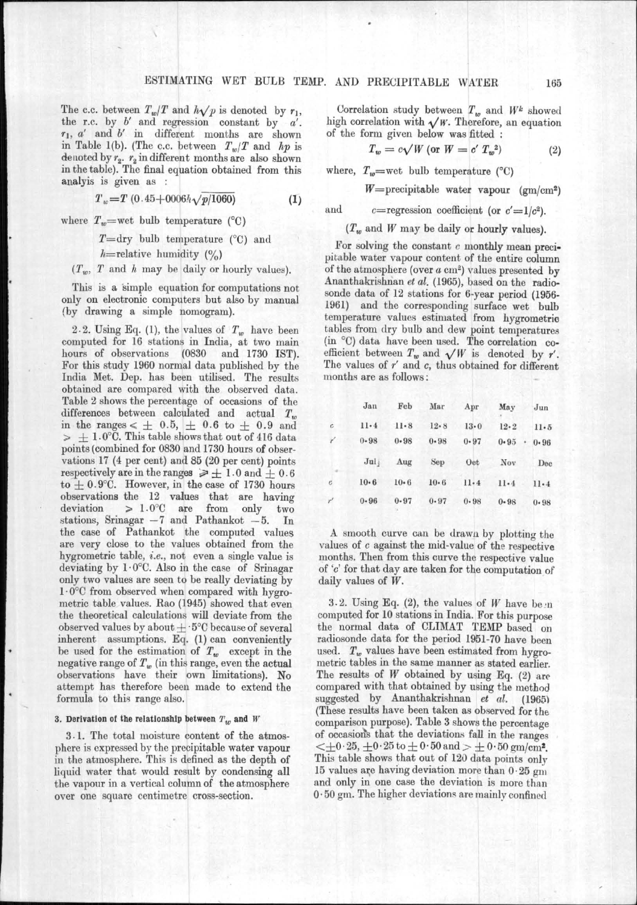The c.c. between  $T_w/T$  and  $h\sqrt{p}$  is denoted by  $r_1$ , the r.c. by  $b'$  and regression constant by  $a'$ .  $r_1$ , a' and b' in different months are shown in Table 1(b). (The c.c. between  $T_w/T$  and  $hp$  is denoted by  $r_2$ .  $r_2$  in different months are also shown in the table). The final equation obtained from this analyis is given as :

> $T_w = T(0.45 + 0.006 h \sqrt{p/1060})$  $(1)$

where  $T_w$ =wet bulb temperature (°C)

 $T =$ dry bulb temperature (°C) and

 $h$ =relative humidity (%)

 $(T_w, T$  and h may be daily or hourly values).

This is a simple equation for computations not only on electronic computers but also by manual (by drawing a simple nomogram).

2.2. Using Eq. (1), the values of  $T_w$  have been computed for 16 stations in India, at two main hours of observations (0830 and 1730 IST). For this study 1960 normal data published by the India Met. Dep. has been utilised. The results obtained are compared with the observed data. Table 2 shows the percentage of occasions of the differences between calculated and actual  $T_w$ in the ranges  $\epsilon \pm 0.5$ ,  $\pm 0.6$  to  $\pm 0.9$  and  $>$   $\pm$  1.0°C. This table shows that out of 416 data points (combined for 0830 and 1730 hours of observations 17 (4 per cent) and 85 (20 per cent) points respectively are in the ranges  $\geq 1.0$  and  $\pm 0.6$ to  $\pm$  0.9°C. However, in the case of 1730 hours observations the 12 values that are having deviation  $> 1.0$ °C are from only two stations, Srinagar  $-7$  and Pathankot  $-5$ . In the case of Pathankot the computed values are very close to the values obtained from the hygrometric table, *i.e.*, not even a single value is deviating by  $1.0^{\circ}$ C. Also in the case of Srinagar only two values are seen to be really deviating by  $1.0^{\circ}$ C from observed when compared with hygrometric table values. Rao (1945) showed that even the theoretical calculations will deviate from the observed values by about  $\pm$  5°C because of several inherent assumptions. Eq. (1) can conveniently<br>be used for the estimation of  $T_w$  except in the negative range of  $T_w$  (in this range, even the actual<br>observations have their own limitations). No attempt has therefore been made to extend the formula to this range also.

# 3. Derivation of the relationship between  $T_w$  and  $W$

3.1. The total moisture content of the atmosphere is expressed by the precipitable water vapour in the atmosphere. This is defined as the depth of liquid water that would result by condensing all the vapour in a vertical column of the atmosphere over one square centimetre cross-section.

Correlation study between  $T_w$  and  $W^k$  showed high correlation with  $\sqrt{W}$ . Therefore, an equation of the form given below was fitted :

$$
T_w = c\sqrt{W} \text{ (or } W = c' T_w^2)
$$
 (2)

where,  $T_w$ =wet bulb temperature (°C)

 $W =$ precipitable water vapour (gm/cm<sup>2</sup>)

and c=regression coefficient (or  $c'=1/c^2$ ).

 $(T_w$  and W may be daily or hourly values).

For solving the constant c monthly mean precipitable water vapour content of the entire column of the atmosphere (over  $a$  cm<sup>2</sup>) values presented by Ananthakrishnan et al. (1965), based on the radiosonde data of 12 stations for 6-year period (1956-1961) and the corresponding surface wet bulb temperature values estimated from hygrometric tables from dry bulb and dew point temperatures (in °C) data have been used. The correlation coefficient between  $T_w$  and  $\sqrt{W}$  is denoted by r'. The values of  $r'$  and  $c$ , thus obtained for different months are as follows:

|                | Jan      | Feb      | Mar      | Apr      | May      | $_{\text{Jun}}$ |
|----------------|----------|----------|----------|----------|----------|-----------------|
| $\mathfrak{c}$ | 11.4     | $11 - 8$ | 12.8     | $13 - 0$ | 12.2     | $11-5$          |
| ŕ              | $0 - 98$ | $0 - 98$ | $0 - 98$ | $0 - 97$ | 0.95     | ÷.<br>0.96      |
|                | Jul      | Aug      | Sep      | Oct      | Nov      | Dec             |
| ĉ              | $10 - 6$ | $10 - 6$ | $10 - 6$ | $11 - 4$ | $11-4$   | $11 - 4$        |
| r'             | $0 - 96$ | $0 - 97$ | $0 - 97$ | $0 - 98$ | $0 - 98$ | $0 - 98$        |

A smooth curve can be drawn by plotting the values of c against the mid-value of the respective months. Then from this curve the respective value of 'c' for that day are taken for the computation of daily values of  $W$ .

3.2. Using Eq. (2), the values of W have been computed for 10 stations in India. For this purpose the normal data of CLIMAT TEMP based on radiosonde data for the period 1951-70 have been used.  $T_w$  values have been estimated from hygrometric tables in the same manner as stated earlier. The results of  $W$  obtained by using Eq. (2) are compared with that obtained by using the method suggested by Ananthakrishnan et al. (1965) (These results have been taken as observed for the comparison purpose). Table 3 shows the percentage of occasions that the deviations fall in the ranges  $\langle \pm 0.25, \pm 0.25$  to  $\pm 0.50$  and  $> \pm 0.50$  gm/cm<sup>2</sup>. This table shows that out of 120 data points only 15 values are having deviation more than 0.25 gm and only in one case the deviation is more than  $0.50$  gm. The higher deviations are mainly confined

165